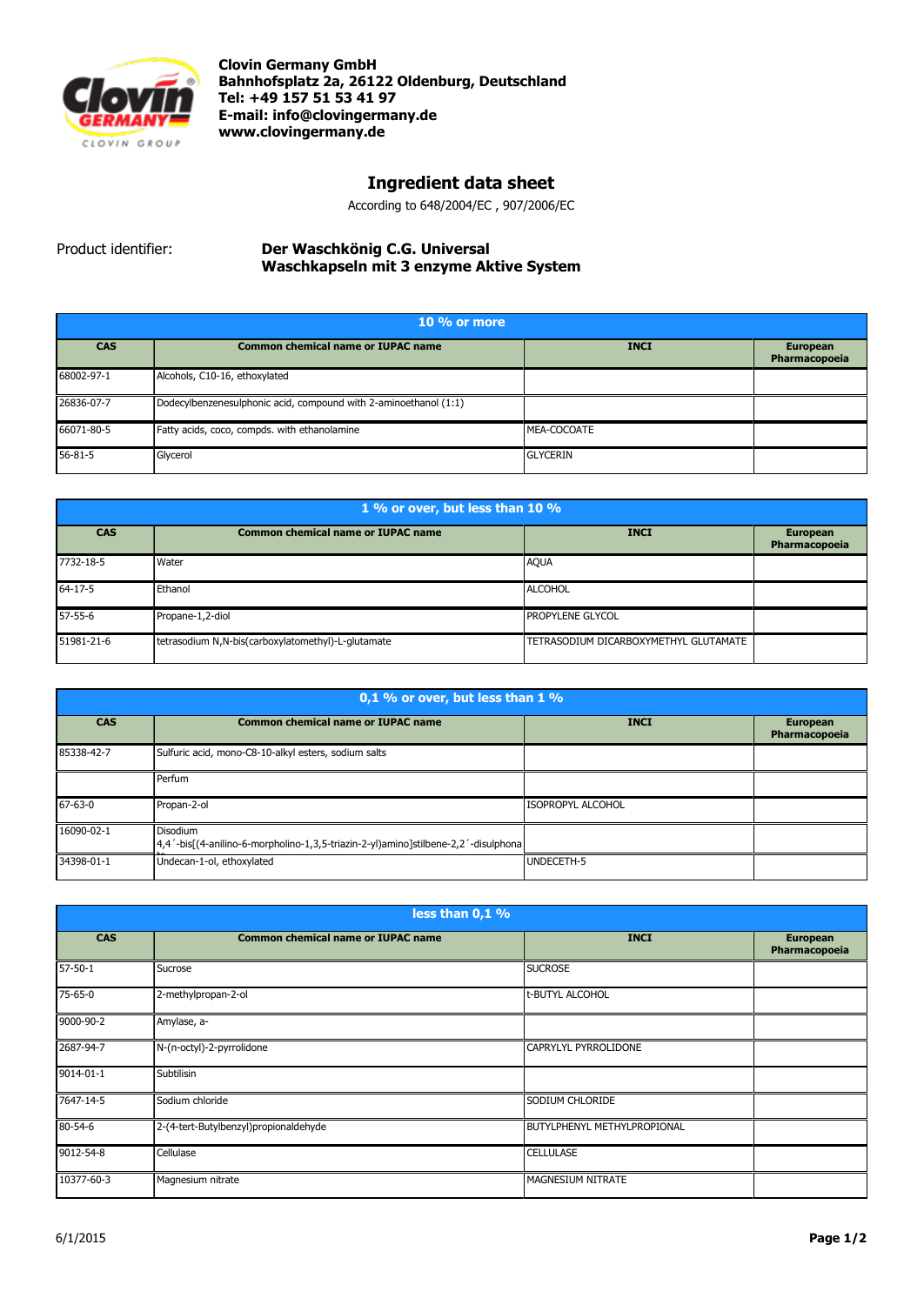

**Clovin Germany GmbH Bahnhofsplatz 2a, 26122 Oldenburg, Deutschland Tel: +49 157 51 53 41 97 E-mail[: info@clovingermany.de](mailto:info@clovingermany.de) www.clovingermany.de**

## **Ingredient data sheet**

According to 648/2004/EC , 907/2006/EC

Product identifier: **Der Waschkӧnig C.G. Universal Waschkapseln mit 3 enzyme Aktive System**

| $10\%$ or more |                                                                  |                 |                                  |
|----------------|------------------------------------------------------------------|-----------------|----------------------------------|
| <b>CAS</b>     | <b>Common chemical name or IUPAC name</b>                        | <b>INCI</b>     | <b>European</b><br>Pharmacopoeia |
| 68002-97-1     | Alcohols, C10-16, ethoxylated                                    |                 |                                  |
| 26836-07-7     | Dodecylbenzenesulphonic acid, compound with 2-aminoethanol (1:1) |                 |                                  |
| 66071-80-5     | Fatty acids, coco, compds. with ethanolamine                     | MEA-COCOATE     |                                  |
| $56 - 81 - 5$  | Glycerol                                                         | <b>GLYCERIN</b> |                                  |

| 1 % or over, but less than 10 % |                                                    |                                       |                                  |
|---------------------------------|----------------------------------------------------|---------------------------------------|----------------------------------|
| <b>CAS</b>                      | <b>Common chemical name or IUPAC name</b>          | <b>INCI</b>                           | <b>European</b><br>Pharmacopoeia |
| 7732-18-5                       | Water                                              | <b>AQUA</b>                           |                                  |
| $64-17-5$                       | Ethanol                                            | <b>ALCOHOL</b>                        |                                  |
| $57 - 55 - 6$                   | Propane-1,2-diol                                   | <b>PROPYLENE GLYCOL</b>               |                                  |
| 51981-21-6                      | tetrasodium N,N-bis(carboxylatomethyl)-L-glutamate | TETRASODIUM DICARBOXYMETHYL GLUTAMATE |                                  |

| 0,1 % or over, but less than 1 % |                                                                                                       |                          |                                  |
|----------------------------------|-------------------------------------------------------------------------------------------------------|--------------------------|----------------------------------|
| <b>CAS</b>                       | <b>Common chemical name or IUPAC name</b>                                                             | <b>INCI</b>              | <b>European</b><br>Pharmacopoeia |
| 85338-42-7                       | Sulfuric acid, mono-C8-10-alkyl esters, sodium salts                                                  |                          |                                  |
|                                  | Perfum                                                                                                |                          |                                  |
| $67 - 63 - 0$                    | Propan-2-ol                                                                                           | <b>ISOPROPYL ALCOHOL</b> |                                  |
| 16090-02-1                       | <b>Disodium</b><br>4,4'-bis[(4-anilino-6-morpholino-1,3,5-triazin-2-yl)amino]stilbene-2,2'-disulphona |                          |                                  |
| 34398-01-1                       | Undecan-1-ol, ethoxylated                                                                             | UNDECETH-5               |                                  |

| less than 0,1 % |                                           |                                    |                                  |
|-----------------|-------------------------------------------|------------------------------------|----------------------------------|
| <b>CAS</b>      | <b>Common chemical name or IUPAC name</b> | <b>INCI</b>                        | <b>European</b><br>Pharmacopoeia |
| $57 - 50 - 1$   | Sucrose                                   | <b>SUCROSE</b>                     |                                  |
| 75-65-0         | 2-methylpropan-2-ol                       | t-BUTYL ALCOHOL                    |                                  |
| 9000-90-2       | Amylase, a-                               |                                    |                                  |
| 2687-94-7       | N-(n-octyl)-2-pyrrolidone                 | CAPRYLYL PYRROLIDONE               |                                  |
| 9014-01-1       | Subtilisin                                |                                    |                                  |
| 7647-14-5       | Sodium chloride                           | SODIUM CHLORIDE                    |                                  |
| 80-54-6         | 2-(4-tert-Butylbenzyl)propionaldehyde     | <b>BUTYLPHENYL METHYLPROPIONAL</b> |                                  |
| 9012-54-8       | Cellulase                                 | <b>CELLULASE</b>                   |                                  |
| 10377-60-3      | Magnesium nitrate                         | MAGNESIUM NITRATE                  |                                  |